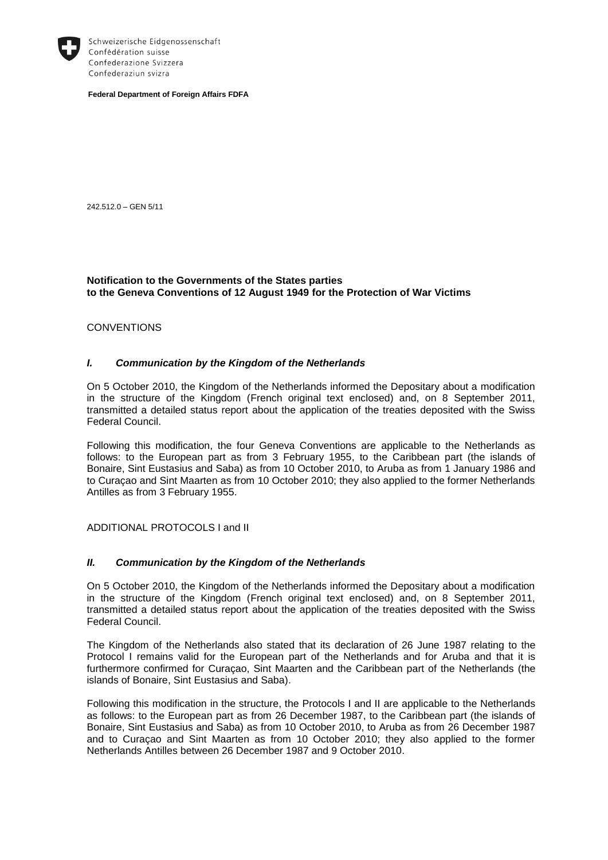

Schweizerische Eidgenossenschaft Confédération suisse Confederazione Svizzera Confederaziun svizra

**Federal Department of Foreign Affairs FDFA**

242.512.0 – GEN 5/11

## **Notification to the Governments of the States parties to the Geneva Conventions of 12 August 1949 for the Protection of War Victims**

#### **CONVENTIONS**

# *I. Communication by the Kingdom of the Netherlands*

On 5 October 2010, the Kingdom of the Netherlands informed the Depositary about a modification in the structure of the Kingdom (French original text enclosed) and, on 8 September 2011, transmitted a detailed status report about the application of the treaties deposited with the Swiss Federal Council.

Following this modification, the four Geneva Conventions are applicable to the Netherlands as follows: to the European part as from 3 February 1955, to the Caribbean part (the islands of Bonaire, Sint Eustasius and Saba) as from 10 October 2010, to Aruba as from 1 January 1986 and to Curaçao and Sint Maarten as from 10 October 2010; they also applied to the former Netherlands Antilles as from 3 February 1955.

#### ADDITIONAL PROTOCOLS I and II

#### *II. Communication by the Kingdom of the Netherlands*

On 5 October 2010, the Kingdom of the Netherlands informed the Depositary about a modification in the structure of the Kingdom (French original text enclosed) and, on 8 September 2011, transmitted a detailed status report about the application of the treaties deposited with the Swiss Federal Council.

The Kingdom of the Netherlands also stated that its declaration of 26 June 1987 relating to the Protocol I remains valid for the European part of the Netherlands and for Aruba and that it is furthermore confirmed for Curaçao, Sint Maarten and the Caribbean part of the Netherlands (the islands of Bonaire, Sint Eustasius and Saba).

Following this modification in the structure, the Protocols I and II are applicable to the Netherlands as follows: to the European part as from 26 December 1987, to the Caribbean part (the islands of Bonaire, Sint Eustasius and Saba) as from 10 October 2010, to Aruba as from 26 December 1987 and to Curaçao and Sint Maarten as from 10 October 2010; they also applied to the former Netherlands Antilles between 26 December 1987 and 9 October 2010.